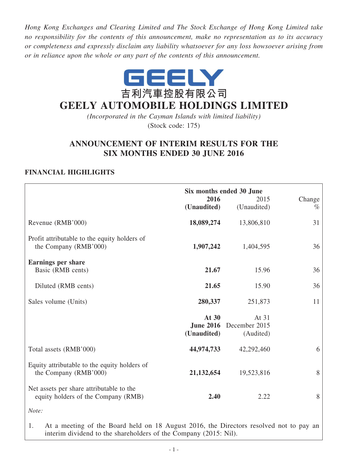*Hong Kong Exchanges and Clearing Limited and The Stock Exchange of Hong Kong Limited take no responsibility for the contents of this announcement, make no representation as to its accuracy or completeness and expressly disclaim any liability whatsoever for any loss howsoever arising from or in reliance upon the whole or any part of the contents of this announcement.*



# **GEELY AUTOMOBILE HOLDINGS LIMITED**

*(Incorporated in the Cayman Islands with limited liability)* (Stock code: 175)

# **ANNOUNCEMENT OF INTERIM RESULTS FOR THE SIX MONTHS ENDED 30 JUNE 2016**

# **FINANCIAL HIGHLIGHTS**

|                                                                                 | 2016<br>(Unaudited)  | Six months ended 30 June<br>2015<br>(Unaudited) | Change<br>$\%$ |
|---------------------------------------------------------------------------------|----------------------|-------------------------------------------------|----------------|
| Revenue (RMB'000)                                                               | 18,089,274           | 13,806,810                                      | 31             |
| Profit attributable to the equity holders of<br>the Company (RMB'000)           | 1,907,242            | 1,404,595                                       | 36             |
| <b>Earnings per share</b><br>Basic (RMB cents)                                  | 21.67                | 15.96                                           | 36             |
| Diluted (RMB cents)                                                             | 21.65                | 15.90                                           | 36             |
| Sales volume (Units)                                                            | 280,337              | 251,873                                         | 11             |
|                                                                                 | At 30<br>(Unaudited) | At 31<br>June 2016 December 2015<br>(Audited)   |                |
| Total assets (RMB'000)                                                          | 44,974,733           | 42,292,460                                      | 6              |
| Equity attributable to the equity holders of<br>the Company (RMB'000)           | 21, 132, 654         | 19,523,816                                      | 8              |
| Net assets per share attributable to the<br>equity holders of the Company (RMB) | 2.40                 | 2.22                                            | 8              |
| Note:                                                                           |                      |                                                 |                |

1. At a meeting of the Board held on 18 August 2016, the Directors resolved not to pay an interim dividend to the shareholders of the Company (2015: Nil).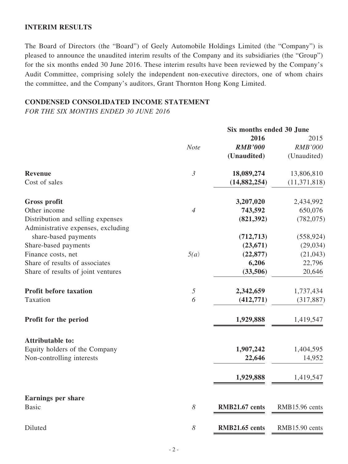### **INTERIM RESULTS**

The Board of Directors (the "Board") of Geely Automobile Holdings Limited (the "Company") is pleased to announce the unaudited interim results of the Company and its subsidiaries (the "Group") for the six months ended 30 June 2016. These interim results have been reviewed by the Company's Audit Committee, comprising solely the independent non-executive directors, one of whom chairs the committee, and the Company's auditors, Grant Thornton Hong Kong Limited.

# **CONDENSED CONSOLIDATED INCOME STATEMENT**

*FOR THE SIX MONTHS ENDED 30 JUNE 2016*

|                                                                         | Six months ended 30 June |                |                |
|-------------------------------------------------------------------------|--------------------------|----------------|----------------|
|                                                                         |                          | 2016           | 2015           |
|                                                                         | <b>Note</b>              | <b>RMB'000</b> | <b>RMB'000</b> |
|                                                                         |                          | (Unaudited)    | (Unaudited)    |
| <b>Revenue</b>                                                          | $\mathfrak{Z}$           | 18,089,274     | 13,806,810     |
| Cost of sales                                                           |                          | (14, 882, 254) | (11, 371, 818) |
| <b>Gross profit</b>                                                     |                          | 3,207,020      | 2,434,992      |
| Other income                                                            | $\overline{4}$           | 743,592        | 650,076        |
| Distribution and selling expenses<br>Administrative expenses, excluding |                          | (821, 392)     | (782, 075)     |
| share-based payments                                                    |                          | (712, 713)     | (558, 924)     |
| Share-based payments                                                    |                          | (23, 671)      | (29, 034)      |
| Finance costs, net                                                      | 5(a)                     | (22, 877)      | (21, 043)      |
| Share of results of associates                                          |                          | 6,206          | 22,796         |
| Share of results of joint ventures                                      |                          | (33,506)       | 20,646         |
| <b>Profit before taxation</b>                                           | $\sqrt{2}$               | 2,342,659      | 1,737,434      |
| Taxation                                                                | 6                        | (412,771)      | (317, 887)     |
| Profit for the period                                                   |                          | 1,929,888      | 1,419,547      |
| <b>Attributable to:</b>                                                 |                          |                |                |
| Equity holders of the Company                                           |                          | 1,907,242      | 1,404,595      |
| Non-controlling interests                                               |                          | 22,646         | 14,952         |
|                                                                         |                          | 1,929,888      | 1,419,547      |
| <b>Earnings per share</b>                                               |                          |                |                |
| <b>Basic</b>                                                            | $\boldsymbol{\delta}$    | RMB21.67 cents | RMB15.96 cents |
| Diluted                                                                 | $\delta$                 | RMB21.65 cents | RMB15.90 cents |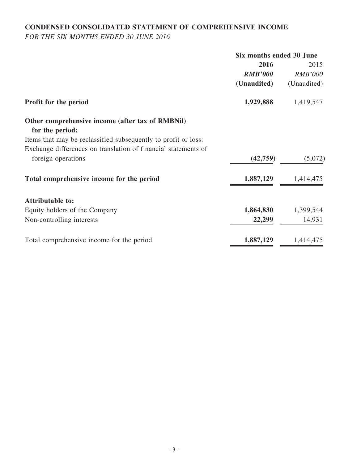# **CONDENSED CONSOLIDATED STATEMENT OF COMPREHENSIVE INCOME**

*FOR THE SIX MONTHS ENDED 30 JUNE 2016*

|                                                                                   | Six months ended 30 June |                |
|-----------------------------------------------------------------------------------|--------------------------|----------------|
|                                                                                   | 2016                     | 2015           |
|                                                                                   | <b>RMB'000</b>           | <b>RMB'000</b> |
|                                                                                   | (Unaudited)              | (Unaudited)    |
| Profit for the period                                                             | 1,929,888                | 1,419,547      |
| Other comprehensive income (after tax of RMBNil)                                  |                          |                |
| for the period:<br>Items that may be reclassified subsequently to profit or loss: |                          |                |
| Exchange differences on translation of financial statements of                    |                          |                |
| foreign operations                                                                | (42,759)                 | (5,072)        |
|                                                                                   |                          |                |
| Total comprehensive income for the period                                         | 1,887,129                | 1,414,475      |
| <b>Attributable to:</b>                                                           |                          |                |
| Equity holders of the Company                                                     | 1,864,830                | 1,399,544      |
| Non-controlling interests                                                         | 22,299                   | 14,931         |
| Total comprehensive income for the period                                         | 1,887,129                | 1,414,475      |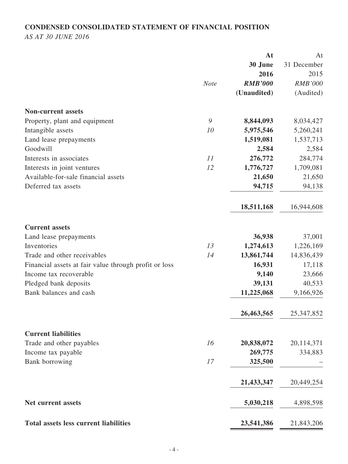# **CONDENSED CONSOLIDATED STATEMENT OF FINANCIAL POSITION**

*AS AT 30 JUNE 2016*

|                                                       |             | At             | At             |
|-------------------------------------------------------|-------------|----------------|----------------|
|                                                       |             | 30 June        | 31 December    |
|                                                       |             | 2016           | 2015           |
|                                                       | <b>Note</b> | <b>RMB'000</b> | <b>RMB'000</b> |
|                                                       |             | (Unaudited)    | (Audited)      |
| <b>Non-current assets</b>                             |             |                |                |
| Property, plant and equipment                         | 9           | 8,844,093      | 8,034,427      |
| Intangible assets                                     | 10          | 5,975,546      | 5,260,241      |
| Land lease prepayments                                |             | 1,519,081      | 1,537,713      |
| Goodwill                                              |             | 2,584          | 2,584          |
| Interests in associates                               | 11          | 276,772        | 284,774        |
| Interests in joint ventures                           | 12          | 1,776,727      | 1,709,081      |
| Available-for-sale financial assets                   |             | 21,650         | 21,650         |
| Deferred tax assets                                   |             | 94,715         | 94,138         |
|                                                       |             | 18,511,168     | 16,944,608     |
| <b>Current assets</b>                                 |             |                |                |
| Land lease prepayments                                |             | 36,938         | 37,001         |
| Inventories                                           | 13          | 1,274,613      | 1,226,169      |
| Trade and other receivables                           | 14          | 13,861,744     | 14,836,439     |
| Financial assets at fair value through profit or loss |             | 16,931         | 17,118         |
| Income tax recoverable                                |             | 9,140          | 23,666         |
| Pledged bank deposits                                 |             | 39,131         | 40,533         |
| Bank balances and cash                                |             | 11,225,068     | 9,166,926      |
|                                                       |             | 26,463,565     | 25, 347, 852   |
| <b>Current liabilities</b>                            |             |                |                |
| Trade and other payables                              | 16          | 20,838,072     | 20,114,371     |
| Income tax payable                                    |             | 269,775        | 334,883        |
| Bank borrowing                                        | 17          | 325,500        |                |
|                                                       |             | 21,433,347     | 20,449,254     |
| Net current assets                                    |             | 5,030,218      | 4,898,598      |
| <b>Total assets less current liabilities</b>          |             | 23,541,386     | 21,843,206     |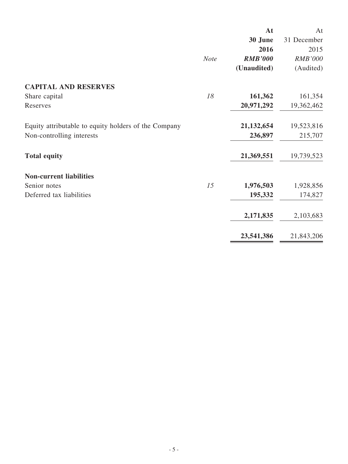|                                                      |             | At             | At             |
|------------------------------------------------------|-------------|----------------|----------------|
|                                                      |             | 30 June        | 31 December    |
|                                                      |             | 2016           | 2015           |
|                                                      | <b>Note</b> | <b>RMB'000</b> | <b>RMB'000</b> |
|                                                      |             | (Unaudited)    | (Audited)      |
| <b>CAPITAL AND RESERVES</b>                          |             |                |                |
| Share capital                                        | 18          | 161,362        | 161,354        |
| Reserves                                             |             | 20,971,292     | 19,362,462     |
| Equity attributable to equity holders of the Company |             | 21, 132, 654   | 19,523,816     |
| Non-controlling interests                            |             | 236,897        | 215,707        |
| <b>Total equity</b>                                  |             | 21,369,551     | 19,739,523     |
| <b>Non-current liabilities</b>                       |             |                |                |
| Senior notes                                         | 15          | 1,976,503      | 1,928,856      |
| Deferred tax liabilities                             |             | 195,332        | 174,827        |
|                                                      |             | 2,171,835      | 2,103,683      |
|                                                      |             | 23,541,386     | 21,843,206     |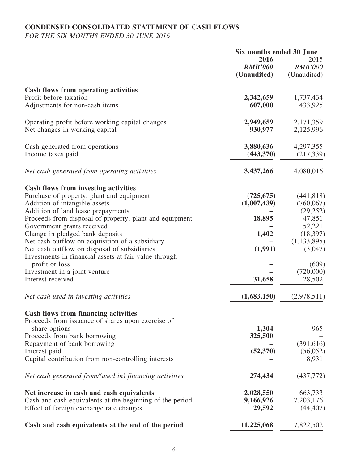# **CONDENSED CONSOLIDATED STATEMENT OF CASH FLOWS**

*FOR THE SIX MONTHS ENDED 30 JUNE 2016*

|                                                          | Six months ended 30 June |                |
|----------------------------------------------------------|--------------------------|----------------|
|                                                          | 2016                     | 2015           |
|                                                          | <b>RMB'000</b>           | <b>RMB'000</b> |
|                                                          | (Unaudited)              | (Unaudited)    |
|                                                          |                          |                |
| <b>Cash flows from operating activities</b>              |                          |                |
| Profit before taxation                                   | 2,342,659                | 1,737,434      |
| Adjustments for non-cash items                           | 607,000                  | 433,925        |
|                                                          |                          |                |
| Operating profit before working capital changes          | 2,949,659                | 2,171,359      |
| Net changes in working capital                           | 930,977                  | 2,125,996      |
|                                                          |                          |                |
| Cash generated from operations                           | 3,880,636                | 4,297,355      |
| Income taxes paid                                        | (443,370)                | (217, 339)     |
|                                                          |                          |                |
| Net cash generated from operating activities             | 3,437,266                | 4,080,016      |
|                                                          |                          |                |
| <b>Cash flows from investing activities</b>              |                          |                |
| Purchase of property, plant and equipment                | (725, 675)               | (441, 818)     |
| Addition of intangible assets                            | (1,007,439)              | (760, 067)     |
| Addition of land lease prepayments                       |                          | (29, 252)      |
| Proceeds from disposal of property, plant and equipment  | 18,895                   | 47,851         |
| Government grants received                               |                          | 52,221         |
| Change in pledged bank deposits                          | 1,402                    | (18, 397)      |
| Net cash outflow on acquisition of a subsidiary          |                          | (1, 133, 895)  |
| Net cash outflow on disposal of subsidiaries             | (1,991)                  | (3,047)        |
|                                                          |                          |                |
| Investments in financial assets at fair value through    |                          |                |
| profit or loss                                           |                          | (609)          |
| Investment in a joint venture                            |                          | (720,000)      |
| Interest received                                        | 31,658                   | 28,502         |
| Net cash used in investing activities                    | (1,683,150)              | (2,978,511)    |
|                                                          |                          |                |
| Cash flows from financing activities                     |                          |                |
| Proceeds from issuance of shares upon exercise of        |                          |                |
| share options                                            | 1,304                    | 965            |
| Proceeds from bank borrowing                             | 325,500                  |                |
| Repayment of bank borrowing                              |                          | (391, 616)     |
| Interest paid                                            | (52, 370)                | (56, 052)      |
| Capital contribution from non-controlling interests      |                          | 8,931          |
|                                                          |                          |                |
| Net cash generated from/(used in) financing activities   | 274,434                  | (437,772)      |
| Net increase in cash and cash equivalents                | 2,028,550                | 663,733        |
| Cash and cash equivalents at the beginning of the period | 9,166,926                | 7,203,176      |
| Effect of foreign exchange rate changes                  | 29,592                   | (44, 407)      |
|                                                          |                          |                |
| Cash and cash equivalents at the end of the period       | 11,225,068               | 7,822,502      |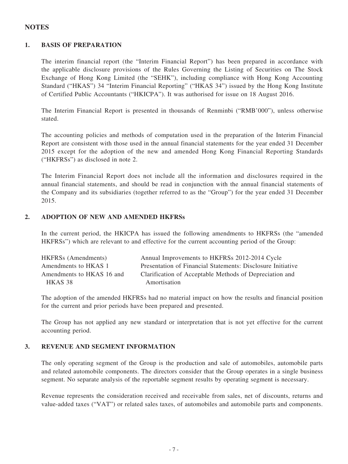### **NOTES**

#### **1. BASIS OF PREPARATION**

The interim financial report (the "Interim Financial Report") has been prepared in accordance with the applicable disclosure provisions of the Rules Governing the Listing of Securities on The Stock Exchange of Hong Kong Limited (the "SEHK"), including compliance with Hong Kong Accounting Standard ("HKAS") 34 "Interim Financial Reporting" ("HKAS 34") issued by the Hong Kong Institute of Certified Public Accountants ("HKICPA"). It was authorised for issue on 18 August 2016.

The Interim Financial Report is presented in thousands of Renminbi ("RMB'000"), unless otherwise stated.

The accounting policies and methods of computation used in the preparation of the Interim Financial Report are consistent with those used in the annual financial statements for the year ended 31 December 2015 except for the adoption of the new and amended Hong Kong Financial Reporting Standards ("HKFRSs") as disclosed in note 2.

The Interim Financial Report does not include all the information and disclosures required in the annual financial statements, and should be read in conjunction with the annual financial statements of the Company and its subsidiaries (together referred to as the "Group") for the year ended 31 December 2015.

#### **2. ADOPTION OF NEW AND AMENDED HKFRSs**

In the current period, the HKICPA has issued the following amendments to HKFRSs (the "amended HKFRSs") which are relevant to and effective for the current accounting period of the Group:

| <b>HKFRSs</b> (Amendments) | Annual Improvements to HKFRSs 2012-2014 Cycle               |
|----------------------------|-------------------------------------------------------------|
| Amendments to HKAS 1       | Presentation of Financial Statements: Disclosure Initiative |
| Amendments to HKAS 16 and  | Clarification of Acceptable Methods of Depreciation and     |
| HKAS 38                    | Amortisation                                                |

The adoption of the amended HKFRSs had no material impact on how the results and financial position for the current and prior periods have been prepared and presented.

The Group has not applied any new standard or interpretation that is not yet effective for the current accounting period.

#### **3. REVENUE AND SEGMENT INFORMATION**

The only operating segment of the Group is the production and sale of automobiles, automobile parts and related automobile components. The directors consider that the Group operates in a single business segment. No separate analysis of the reportable segment results by operating segment is necessary.

Revenue represents the consideration received and receivable from sales, net of discounts, returns and value-added taxes ("VAT") or related sales taxes, of automobiles and automobile parts and components.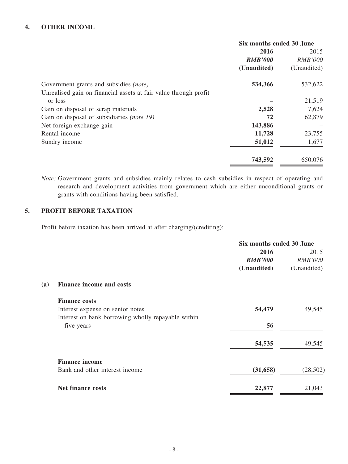### **4. OTHER INCOME**

|                                                                  | Six months ended 30 June |                |
|------------------------------------------------------------------|--------------------------|----------------|
|                                                                  | 2016                     | 2015           |
|                                                                  | <b>RMB'000</b>           | <b>RMB'000</b> |
|                                                                  | (Unaudited)              | (Unaudited)    |
| Government grants and subsidies <i>(note)</i>                    | 534,366                  | 532,622        |
| Unrealised gain on financial assets at fair value through profit |                          |                |
| or loss                                                          |                          | 21,519         |
| Gain on disposal of scrap materials                              | 2,528                    | 7,624          |
| Gain on disposal of subsidiaries (note 19)                       | 72                       | 62,879         |
| Net foreign exchange gain                                        | 143,886                  |                |
| Rental income                                                    | 11,728                   | 23,755         |
| Sundry income                                                    | 51,012                   | 1,677          |
|                                                                  | 743,592                  | 650,076        |

*Note:* Government grants and subsidies mainly relates to cash subsidies in respect of operating and research and development activities from government which are either unconditional grants or grants with conditions having been satisfied.

#### **5. PROFIT BEFORE TAXATION**

Profit before taxation has been arrived at after charging/(crediting):

|                                                    | Six months ended 30 June |                |
|----------------------------------------------------|--------------------------|----------------|
|                                                    | 2016                     | 2015           |
|                                                    | <b>RMB'000</b>           | <b>RMB'000</b> |
|                                                    | (Unaudited)              | (Unaudited)    |
| Finance income and costs                           |                          |                |
| <b>Finance costs</b>                               |                          |                |
| Interest expense on senior notes                   | 54,479                   | 49,545         |
| Interest on bank borrowing wholly repayable within |                          |                |
| five years                                         | 56                       |                |
|                                                    | 54,535                   | 49,545         |
| <b>Finance income</b>                              |                          |                |
| Bank and other interest income                     | (31, 658)                | (28, 502)      |
| <b>Net finance costs</b>                           | 22,877                   | 21,043         |
|                                                    |                          |                |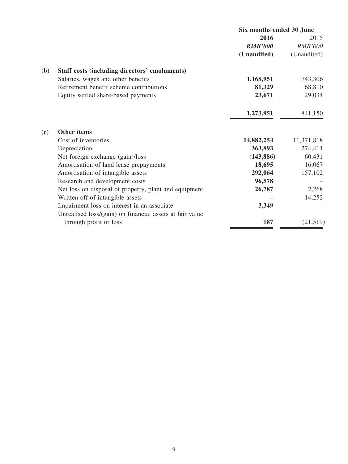|                                                          | Six months ended 30 June |                |
|----------------------------------------------------------|--------------------------|----------------|
|                                                          | 2016                     | 2015           |
|                                                          | <b>RMB'000</b>           | <b>RMB'000</b> |
|                                                          | (Unaudited)              | (Unaudited)    |
| (b)<br>Staff costs (including directors' emoluments)     |                          |                |
| Salaries, wages and other benefits                       | 1,168,951                | 743,306        |
| Retirement benefit scheme contributions                  | 81,329                   | 68,810         |
| Equity settled share-based payments                      | 23,671                   | 29,034         |
|                                                          | 1,273,951                | 841,150        |
| Other items<br>(c)                                       |                          |                |
| Cost of inventories                                      | 14,882,254               | 11,371,818     |
| Depreciation                                             | 363,893                  | 274,414        |
| Net foreign exchange (gain)/loss                         | (143, 886)               | 60,431         |
| Amortisation of land lease prepayments                   | 18,695                   | 16,067         |
| Amortisation of intangible assets                        | 292,064                  | 157,102        |
| Research and development costs                           | 96,578                   |                |
| Net loss on disposal of property, plant and equipment    | 26,787                   | 2,268          |
| Written off of intangible assets                         |                          | 14,252         |
| Impairment loss on interest in an associate              | 3,349                    |                |
| Unrealised loss/(gain) on financial assets at fair value |                          |                |
| through profit or loss                                   | 187                      | (21, 519)      |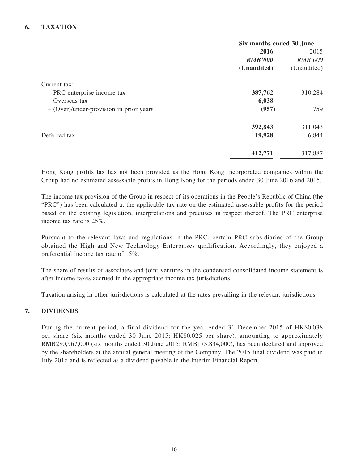### **6. TAXATION**

|                                           | Six months ended 30 June |                |
|-------------------------------------------|--------------------------|----------------|
|                                           | 2016                     |                |
|                                           | <b>RMB'000</b>           | <b>RMB'000</b> |
|                                           | (Unaudited)              | (Unaudited)    |
| Current tax:                              |                          |                |
| - PRC enterprise income tax               | 387,762                  | 310,284        |
| $-$ Overseas tax                          | 6,038                    |                |
| $-$ (Over)/under-provision in prior years | (957)                    | 759            |
|                                           | 392,843                  | 311,043        |
| Deferred tax                              | 19,928                   | 6,844          |
|                                           | 412,771                  | 317,887        |

Hong Kong profits tax has not been provided as the Hong Kong incorporated companies within the Group had no estimated assessable profits in Hong Kong for the periods ended 30 June 2016 and 2015.

The income tax provision of the Group in respect of its operations in the People's Republic of China (the "PRC") has been calculated at the applicable tax rate on the estimated assessable profits for the period based on the existing legislation, interpretations and practises in respect thereof. The PRC enterprise income tax rate is 25%.

Pursuant to the relevant laws and regulations in the PRC, certain PRC subsidiaries of the Group obtained the High and New Technology Enterprises qualification. Accordingly, they enjoyed a preferential income tax rate of 15%.

The share of results of associates and joint ventures in the condensed consolidated income statement is after income taxes accrued in the appropriate income tax jurisdictions.

Taxation arising in other jurisdictions is calculated at the rates prevailing in the relevant jurisdictions.

### **7. DIVIDENDS**

During the current period, a final dividend for the year ended 31 December 2015 of HK\$0.038 per share (six months ended 30 June 2015: HK\$0.025 per share), amounting to approximately RMB280,967,000 (six months ended 30 June 2015: RMB173,834,000), has been declared and approved by the shareholders at the annual general meeting of the Company. The 2015 final dividend was paid in July 2016 and is reflected as a dividend payable in the Interim Financial Report.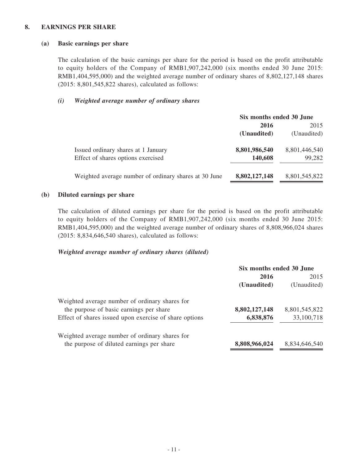#### **8. EARNINGS PER SHARE**

#### **(a) Basic earnings per share**

The calculation of the basic earnings per share for the period is based on the profit attributable to equity holders of the Company of RMB1,907,242,000 (six months ended 30 June 2015: RMB1,404,595,000) and the weighted average number of ordinary shares of 8,802,127,148 shares (2015: 8,801,545,822 shares), calculated as follows:

#### *(i) Weighted average number of ordinary shares*

|                                                       | Six months ended 30 June |               |
|-------------------------------------------------------|--------------------------|---------------|
|                                                       | 2015<br>2016             |               |
|                                                       | (Unaudited)              | (Unaudited)   |
| Issued ordinary shares at 1 January                   | 8,801,986,540            | 8,801,446,540 |
| Effect of shares options exercised                    | 140,608                  | 99,282        |
| Weighted average number of ordinary shares at 30 June | 8,802,127,148            | 8,801,545,822 |

#### **(b) Diluted earnings per share**

The calculation of diluted earnings per share for the period is based on the profit attributable to equity holders of the Company of RMB1,907,242,000 (six months ended 30 June 2015: RMB1,404,595,000) and the weighted average number of ordinary shares of 8,808,966,024 shares (2015: 8,834,646,540 shares), calculated as follows:

#### *Weighted average number of ordinary shares (diluted)*

|                                                        | Six months ended 30 June |               |
|--------------------------------------------------------|--------------------------|---------------|
|                                                        | 2015<br>2016             |               |
|                                                        | (Unaudited)              | (Unaudited)   |
| Weighted average number of ordinary shares for         |                          |               |
| the purpose of basic earnings per share                | 8,802,127,148            | 8,801,545,822 |
| Effect of shares issued upon exercise of share options | 6,838,876                | 33,100,718    |
| Weighted average number of ordinary shares for         |                          |               |
| the purpose of diluted earnings per share              | 8,808,966,024            | 8,834,646,540 |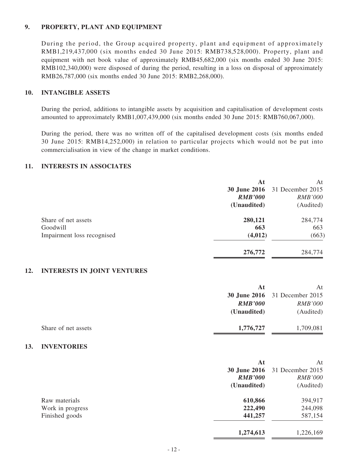#### **9. PROPERTY, PLANT AND EQUIPMENT**

During the period, the Group acquired property, plant and equipment of approximately RMB1,219,437,000 (six months ended 30 June 2015: RMB738,528,000). Property, plant and equipment with net book value of approximately RMB45,682,000 (six months ended 30 June 2015: RMB102,340,000) were disposed of during the period, resulting in a loss on disposal of approximately RMB26,787,000 (six months ended 30 June 2015: RMB2,268,000).

### **10. INTANGIBLE ASSETS**

During the period, additions to intangible assets by acquisition and capitalisation of development costs amounted to approximately RMB1,007,439,000 (six months ended 30 June 2015: RMB760,067,000).

During the period, there was no written off of the capitalised development costs (six months ended 30 June 2015: RMB14,252,000) in relation to particular projects which would not be put into commercialisation in view of the change in market conditions.

#### **11. INTERESTS IN ASSOCIATES**

|                            | At             | At                                   |
|----------------------------|----------------|--------------------------------------|
|                            |                | <b>30 June 2016</b> 31 December 2015 |
|                            | <b>RMB'000</b> | <b>RMB'000</b>                       |
|                            | (Unaudited)    | (Audited)                            |
| Share of net assets        | 280,121        | 284,774                              |
| Goodwill                   | 663            | 663                                  |
| Impairment loss recognised | (4, 012)       | (663)                                |
|                            | 276,772        | 284,774                              |

#### **12. INTERESTS IN JOINT VENTURES**

|                     | At             | At                                   |
|---------------------|----------------|--------------------------------------|
|                     |                | <b>30 June 2016</b> 31 December 2015 |
|                     | <b>RMB'000</b> | <b>RMB'000</b>                       |
|                     | (Unaudited)    | (Audited)                            |
|                     |                |                                      |
| Share of net assets | 1,776,727      | 1,709,081                            |
|                     |                |                                      |

#### **13. INVENTORIES**

|                  | At<br><b>30 June 2016</b>     | At<br>31 December 2015      |
|------------------|-------------------------------|-----------------------------|
|                  | <b>RMB'000</b><br>(Unaudited) | <i>RMB'000</i><br>(Audited) |
| Raw materials    | 610,866                       | 394,917                     |
| Work in progress | 222,490                       | 244,098                     |
| Finished goods   | 441,257                       | 587,154                     |
|                  | 1,274,613                     | 1,226,169                   |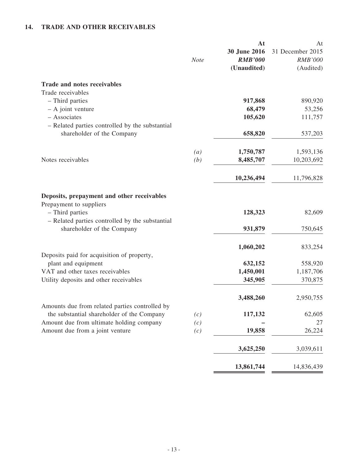# **14. TRADE AND OTHER RECEIVABLES**

|                                                                                                                                             | <b>Note</b>      | At<br>30 June 2016<br><b>RMB'000</b><br>(Unaudited) | At<br>31 December 2015<br><b>RMB'000</b><br>(Audited) |
|---------------------------------------------------------------------------------------------------------------------------------------------|------------------|-----------------------------------------------------|-------------------------------------------------------|
| <b>Trade and notes receivables</b>                                                                                                          |                  |                                                     |                                                       |
| Trade receivables                                                                                                                           |                  |                                                     |                                                       |
| - Third parties<br>$-$ A joint venture                                                                                                      |                  | 917,868<br>68,479                                   | 890,920<br>53,256                                     |
| - Associates                                                                                                                                |                  | 105,620                                             | 111,757                                               |
| - Related parties controlled by the substantial                                                                                             |                  |                                                     |                                                       |
| shareholder of the Company                                                                                                                  |                  | 658,820                                             | 537,203                                               |
|                                                                                                                                             | $\left(a\right)$ | 1,750,787                                           | 1,593,136                                             |
| Notes receivables                                                                                                                           | (b)              | 8,485,707                                           | 10,203,692                                            |
|                                                                                                                                             |                  |                                                     |                                                       |
|                                                                                                                                             |                  | 10,236,494                                          | 11,796,828                                            |
| Deposits, prepayment and other receivables<br>Prepayment to suppliers<br>- Third parties<br>- Related parties controlled by the substantial |                  | 128,323                                             | 82,609                                                |
| shareholder of the Company                                                                                                                  |                  | 931,879                                             | 750,645                                               |
| Deposits paid for acquisition of property,                                                                                                  |                  | 1,060,202                                           | 833,254                                               |
| plant and equipment                                                                                                                         |                  | 632,152                                             | 558,920                                               |
| VAT and other taxes receivables                                                                                                             |                  | 1,450,001                                           | 1,187,706                                             |
| Utility deposits and other receivables                                                                                                      |                  | 345,905                                             | 370,875                                               |
| Amounts due from related parties controlled by                                                                                              |                  | 3,488,260                                           | 2,950,755                                             |
| the substantial shareholder of the Company                                                                                                  | (c)              | 117,132                                             | 62,605                                                |
| Amount due from ultimate holding company                                                                                                    | (c)              |                                                     | 27                                                    |
| Amount due from a joint venture                                                                                                             | (c)              | 19,858                                              | 26,224                                                |
|                                                                                                                                             |                  | 3,625,250                                           | 3,039,611                                             |
|                                                                                                                                             |                  | 13,861,744                                          | 14,836,439                                            |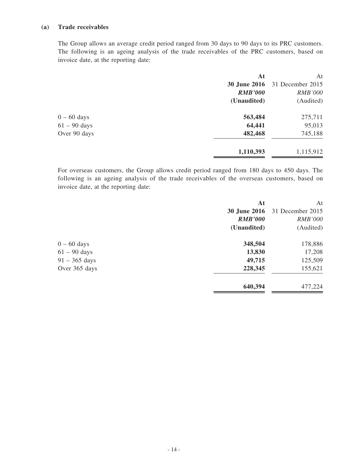#### **(a) Trade receivables**

The Group allows an average credit period ranged from 30 days to 90 days to its PRC customers. The following is an ageing analysis of the trade receivables of the PRC customers, based on invoice date, at the reporting date:

| At             | At               |
|----------------|------------------|
| 30 June 2016   | 31 December 2015 |
| <b>RMB'000</b> | <b>RMB'000</b>   |
| (Unaudited)    | (Audited)        |
| 563,484        | 275,711          |
| 64,441         | 95,013           |
| 482,468        | 745,188          |
| 1,110,393      | 1,115,912        |
|                |                  |

For overseas customers, the Group allows credit period ranged from 180 days to 450 days. The following is an ageing analysis of the trade receivables of the overseas customers, based on invoice date, at the reporting date:

|                 | At                  | At               |
|-----------------|---------------------|------------------|
|                 | <b>30 June 2016</b> | 31 December 2015 |
|                 | <b>RMB'000</b>      | <b>RMB'000</b>   |
|                 | (Unaudited)         | (Audited)        |
| $0 - 60$ days   | 348,504             | 178,886          |
| $61 - 90$ days  | 13,830              | 17,208           |
| $91 - 365$ days | 49,715              | 125,509          |
| Over 365 days   | 228,345             | 155,621          |
|                 | 640,394             | 477,224          |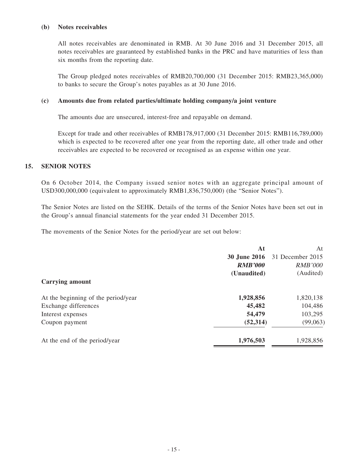#### **(b) Notes receivables**

All notes receivables are denominated in RMB. At 30 June 2016 and 31 December 2015, all notes receivables are guaranteed by established banks in the PRC and have maturities of less than six months from the reporting date.

The Group pledged notes receivables of RMB20,700,000 (31 December 2015: RMB23,365,000) to banks to secure the Group's notes payables as at 30 June 2016.

#### **(c) Amounts due from related parties/ultimate holding company/a joint venture**

The amounts due are unsecured, interest-free and repayable on demand.

Except for trade and other receivables of RMB178,917,000 (31 December 2015: RMB116,789,000) which is expected to be recovered after one year from the reporting date, all other trade and other receivables are expected to be recovered or recognised as an expense within one year.

#### **15. SENIOR NOTES**

On 6 October 2014, the Company issued senior notes with an aggregate principal amount of USD300,000,000 (equivalent to approximately RMB1,836,750,000) (the "Senior Notes").

The Senior Notes are listed on the SEHK. Details of the terms of the Senior Notes have been set out in the Group's annual financial statements for the year ended 31 December 2015.

The movements of the Senior Notes for the period/year are set out below:

|                                     | At                  | At               |
|-------------------------------------|---------------------|------------------|
|                                     | <b>30 June 2016</b> | 31 December 2015 |
|                                     | <b>RMB'000</b>      | <b>RMB'000</b>   |
|                                     | (Unaudited)         | (Audited)        |
| <b>Carrying amount</b>              |                     |                  |
| At the beginning of the period/year | 1,928,856           | 1,820,138        |
| Exchange differences                | 45,482              | 104,486          |
| Interest expenses                   | 54,479              | 103,295          |
| Coupon payment                      | (52, 314)           | (99,063)         |
| At the end of the period/year       | 1,976,503           | 1,928,856        |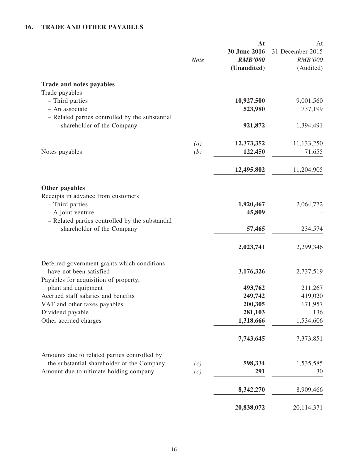# **16. TRADE AND OTHER PAYABLES**

|                                                                                                                                 | <b>Note</b>       | At<br>30 June 2016<br><b>RMB'000</b><br>(Unaudited) | At<br>31 December 2015<br><b>RMB'000</b><br>(Audited) |
|---------------------------------------------------------------------------------------------------------------------------------|-------------------|-----------------------------------------------------|-------------------------------------------------------|
| Trade and notes payables                                                                                                        |                   |                                                     |                                                       |
| Trade payables<br>- Third parties<br>- An associate                                                                             |                   | 10,927,500<br>523,980                               | 9,001,560<br>737,199                                  |
| - Related parties controlled by the substantial<br>shareholder of the Company                                                   |                   | 921,872                                             | 1,394,491                                             |
|                                                                                                                                 | $\left( a\right)$ | 12,373,352                                          | 11,133,250                                            |
| Notes payables                                                                                                                  | (b)               | 122,450                                             | 71,655                                                |
|                                                                                                                                 |                   | 12,495,802                                          | 11,204,905                                            |
| Other payables                                                                                                                  |                   |                                                     |                                                       |
| Receipts in advance from customers<br>- Third parties<br>$-$ A joint venture<br>- Related parties controlled by the substantial |                   | 1,920,467<br>45,809                                 | 2,064,772                                             |
| shareholder of the Company                                                                                                      |                   | 57,465                                              | 234,574                                               |
|                                                                                                                                 |                   | 2,023,741                                           | 2,299,346                                             |
| Deferred government grants which conditions<br>have not been satisfied                                                          |                   | 3,176,326                                           | 2,737,519                                             |
| Payables for acquisition of property,<br>plant and equipment                                                                    |                   | 493,762                                             | 211,267                                               |
| Accrued staff salaries and benefits                                                                                             |                   | 249,742                                             | 419,020                                               |
| VAT and other taxes payables                                                                                                    |                   | 200,305                                             | 171,957                                               |
| Dividend payable<br>Other accrued charges                                                                                       |                   | 281,103<br>1,318,666                                | 136<br>1,534,606                                      |
|                                                                                                                                 |                   | 7,743,645                                           | 7,373,851                                             |
| Amounts due to related parties controlled by                                                                                    |                   |                                                     |                                                       |
| the substantial shareholder of the Company                                                                                      | (c)               | 598,334                                             | 1,535,585                                             |
| Amount due to ultimate holding company                                                                                          | (c)               | 291                                                 | 30                                                    |
|                                                                                                                                 |                   | 8,342,270                                           | 8,909,466                                             |
|                                                                                                                                 |                   | 20,838,072                                          | 20,114,371                                            |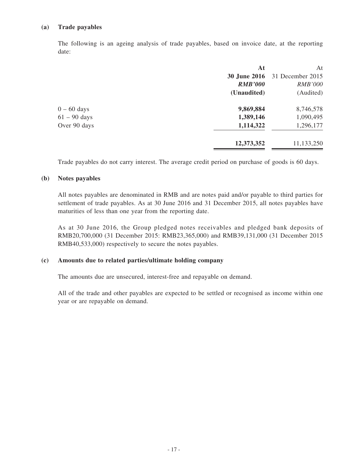#### **(a) Trade payables**

The following is an ageing analysis of trade payables, based on invoice date, at the reporting date:

|                | At                  | At               |
|----------------|---------------------|------------------|
|                | <b>30 June 2016</b> | 31 December 2015 |
|                | <b>RMB'000</b>      | <b>RMB'000</b>   |
|                | (Unaudited)         | (Audited)        |
| $0 - 60$ days  | 9,869,884           | 8,746,578        |
| $61 - 90$ days | 1,389,146           | 1,090,495        |
| Over 90 days   | 1,114,322           | 1,296,177        |
|                | 12,373,352          | 11,133,250       |

Trade payables do not carry interest. The average credit period on purchase of goods is 60 days.

#### **(b) Notes payables**

All notes payables are denominated in RMB and are notes paid and/or payable to third parties for settlement of trade payables. As at 30 June 2016 and 31 December 2015, all notes payables have maturities of less than one year from the reporting date.

As at 30 June 2016, the Group pledged notes receivables and pledged bank deposits of RMB20,700,000 (31 December 2015: RMB23,365,000) and RMB39,131,000 (31 December 2015 RMB40,533,000) respectively to secure the notes payables.

#### **(c) Amounts due to related parties/ultimate holding company**

The amounts due are unsecured, interest-free and repayable on demand.

All of the trade and other payables are expected to be settled or recognised as income within one year or are repayable on demand.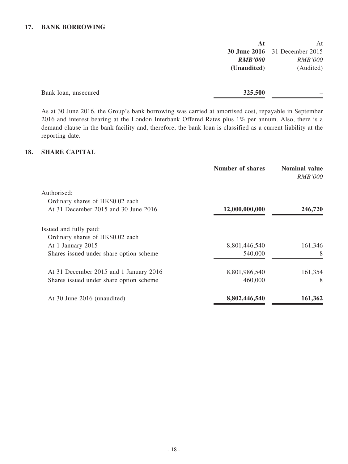### **17. BANK BORROWING**

|                      | At             | At                                   |
|----------------------|----------------|--------------------------------------|
|                      |                | <b>30 June 2016</b> 31 December 2015 |
|                      | <b>RMB'000</b> | <b>RMB'000</b>                       |
|                      | (Unaudited)    | (Audited)                            |
|                      |                |                                      |
| Bank loan, unsecured | 325,500        |                                      |

As at 30 June 2016, the Group's bank borrowing was carried at amortised cost, repayable in September 2016 and interest bearing at the London Interbank Offered Rates plus 1% per annum. Also, there is a demand clause in the bank facility and, therefore, the bank loan is classified as a current liability at the reporting date.

#### **18. SHARE CAPITAL**

| <b>Number of shares</b> | <b>Nominal value</b><br><i>RMB'000</i> |
|-------------------------|----------------------------------------|
|                         |                                        |
|                         |                                        |
| 12,000,000,000          | 246,720                                |
|                         |                                        |
|                         |                                        |
| 8,801,446,540           | 161,346                                |
| 540,000                 | 8                                      |
| 8,801,986,540           | 161,354                                |
| 460,000                 | 8                                      |
| 8,802,446,540           | 161,362                                |
|                         |                                        |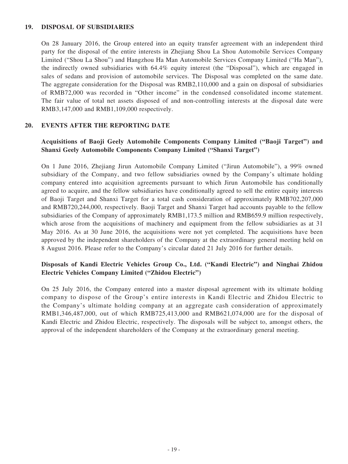#### **19. DISPOSAL OF SUBSIDIARIES**

On 28 January 2016, the Group entered into an equity transfer agreement with an independent third party for the disposal of the entire interests in Zhejiang Shou La Shou Automobile Services Company Limited ("Shou La Shou") and Hangzhou Ha Man Automobile Services Company Limited ("Ha Man"), the indirectly owned subsidiaries with 64.4% equity interest (the "Disposal"), which are engaged in sales of sedans and provision of automobile services. The Disposal was completed on the same date. The aggregate consideration for the Disposal was RMB2,110,000 and a gain on disposal of subsidiaries of RMB72,000 was recorded in "Other income" in the condensed consolidated income statement. The fair value of total net assets disposed of and non-controlling interests at the disposal date were RMB3,147,000 and RMB1,109,000 respectively.

#### **20. EVENTS AFTER THE REPORTING DATE**

### **Acquisitions of Baoji Geely Automobile Components Company Limited ("Baoji Target") and Shanxi Geely Automobile Components Company Limited ("Shanxi Target")**

On 1 June 2016, Zhejiang Jirun Automobile Company Limited ("Jirun Automobile"), a 99% owned subsidiary of the Company, and two fellow subsidiaries owned by the Company's ultimate holding company entered into acquisition agreements pursuant to which Jirun Automobile has conditionally agreed to acquire, and the fellow subsidiaries have conditionally agreed to sell the entire equity interests of Baoji Target and Shanxi Target for a total cash consideration of approximately RMB702,207,000 and RMB720,244,000, respectively. Baoji Target and Shanxi Target had accounts payable to the fellow subsidiaries of the Company of approximately RMB1,173.5 million and RMB659.9 million respectively, which arose from the acquisitions of machinery and equipment from the fellow subsidiaries as at 31 May 2016. As at 30 June 2016, the acquisitions were not yet completed. The acquisitions have been approved by the independent shareholders of the Company at the extraordinary general meeting held on 8 August 2016. Please refer to the Company's circular dated 21 July 2016 for further details.

### **Disposals of Kandi Electric Vehicles Group Co., Ltd. ("Kandi Electric") and Ninghai Zhidou Electric Vehicles Company Limited ("Zhidou Electric")**

On 25 July 2016, the Company entered into a master disposal agreement with its ultimate holding company to dispose of the Group's entire interests in Kandi Electric and Zhidou Electric to the Company's ultimate holding company at an aggregate cash consideration of approximately RMB1,346,487,000, out of which RMB725,413,000 and RMB621,074,000 are for the disposal of Kandi Electric and Zhidou Electric, respectively. The disposals will be subject to, amongst others, the approval of the independent shareholders of the Company at the extraordinary general meeting.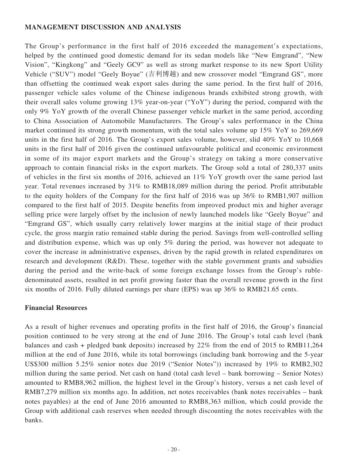### **MANAGEMENT DISCUSSION AND ANALYSIS**

The Group's performance in the first half of 2016 exceeded the management's expectations, helped by the continued good domestic demand for its sedan models like "New Emgrand", "New Vision", "Kingkong" and "Geely GC9" as well as strong market response to its new Sport Utility Vehicle ("SUV") model "Geely Boyue" (吉利博越) and new crossover model "Emgrand GS", more than offsetting the continued weak export sales during the same period. In the first half of 2016, passenger vehicle sales volume of the Chinese indigenous brands exhibited strong growth, with their overall sales volume growing 13% year-on-year ("YoY") during the period, compared with the only 9% YoY growth of the overall Chinese passenger vehicle market in the same period, according to China Association of Automobile Manufacturers. The Group's sales performance in the China market continued its strong growth momentum, with the total sales volume up 15% YoY to 269,669 units in the first half of 2016. The Group's export sales volume, however, slid 40% YoY to 10,668 units in the first half of 2016 given the continued unfavourable political and economic environment in some of its major export markets and the Group's strategy on taking a more conservative approach to contain financial risks in the export markets. The Group sold a total of 280,337 units of vehicles in the first six months of 2016, achieved an 11% YoY growth over the same period last year. Total revenues increased by 31% to RMB18,089 million during the period. Profit attributable to the equity holders of the Company for the first half of 2016 was up 36% to RMB1,907 million compared to the first half of 2015. Despite benefits from improved product mix and higher average selling price were largely offset by the inclusion of newly launched models like "Geely Boyue" and "Emgrand GS", which usually carry relatively lower margins at the initial stage of their product cycle, the gross margin ratio remained stable during the period. Savings from well-controlled selling and distribution expense, which was up only 5% during the period, was however not adequate to cover the increase in administrative expenses, driven by the rapid growth in related expenditures on research and development (R&D). These, together with the stable government grants and subsidies during the period and the write-back of some foreign exchange losses from the Group's rubledenominated assets, resulted in net profit growing faster than the overall revenue growth in the first six months of 2016. Fully diluted earnings per share (EPS) was up 36% to RMB21.65 cents.

### **Financial Resources**

As a result of higher revenues and operating profits in the first half of 2016, the Group's financial position continued to be very strong at the end of June 2016. The Group's total cash level (bank balances and cash + pledged bank deposits) increased by 22% from the end of 2015 to RMB11,264 million at the end of June 2016, while its total borrowings (including bank borrowing and the 5-year US\$300 million 5.25% senior notes due 2019 ("Senior Notes")) increased by 19% to RMB2,302 million during the same period. Net cash on hand (total cash level – bank borrowing – Senior Notes) amounted to RMB8,962 million, the highest level in the Group's history, versus a net cash level of RMB7,279 million six months ago. In addition, net notes receivables (bank notes receivables – bank notes payables) at the end of June 2016 amounted to RMB8,363 million, which could provide the Group with additional cash reserves when needed through discounting the notes receivables with the banks.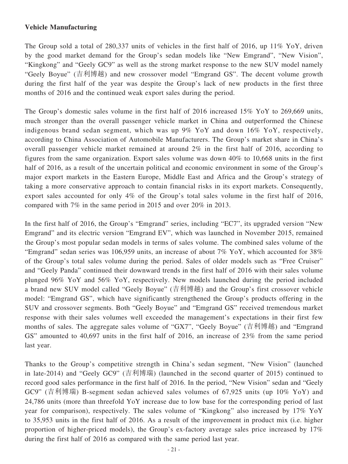### **Vehicle Manufacturing**

The Group sold a total of 280,337 units of vehicles in the first half of 2016, up 11% YoY, driven by the good market demand for the Group's sedan models like "New Emgrand", "New Vision", "Kingkong" and "Geely GC9" as well as the strong market response to the new SUV model namely "Geely Boyue" (吉利博越) and new crossover model "Emgrand GS". The decent volume growth during the first half of the year was despite the Group's lack of new products in the first three months of 2016 and the continued weak export sales during the period.

The Group's domestic sales volume in the first half of 2016 increased 15% YoY to 269,669 units, much stronger than the overall passenger vehicle market in China and outperformed the Chinese indigenous brand sedan segment, which was up 9% YoY and down 16% YoY, respectively, according to China Association of Automobile Manufacturers. The Group's market share in China's overall passenger vehicle market remained at around 2% in the first half of 2016, according to figures from the same organization. Export sales volume was down 40% to 10,668 units in the first half of 2016, as a result of the uncertain political and economic environment in some of the Group's major export markets in the Eastern Europe, Middle East and Africa and the Group's strategy of taking a more conservative approach to contain financial risks in its export markets. Consequently, export sales accounted for only 4% of the Group's total sales volume in the first half of 2016, compared with 7% in the same period in 2015 and over 20% in 2013.

In the first half of 2016, the Group's "Emgrand" series, including "EC7", its upgraded version "New Emgrand" and its electric version "Emgrand EV", which was launched in November 2015, remained the Group's most popular sedan models in terms of sales volume. The combined sales volume of the "Emgrand" sedan series was 106,959 units, an increase of about 7% YoY, which accounted for 38% of the Group's total sales volume during the period. Sales of older models such as "Free Cruiser" and "Geely Panda" continued their downward trends in the first half of 2016 with their sales volume plunged 96% YoY and 56% YoY, respectively. New models launched during the period included a brand new SUV model called "Geely Boyue" (吉利博越) and the Group's first crossover vehicle model: "Emgrand GS", which have significantly strengthened the Group's products offering in the SUV and crossover segments. Both "Geely Boyue" and "Emgrand GS" received tremendous market response with their sales volumes well exceeded the management's expectations in their first few months of sales. The aggregate sales volume of "GX7", "Geely Boyue" (吉利博越) and "Emgrand GS" amounted to 40,697 units in the first half of 2016, an increase of 23% from the same period last year.

Thanks to the Group's competitive strength in China's sedan segment, "New Vision" (launched in late-2014) and "Geely GC9" (吉利博瑞) (launched in the second quarter of 2015) continued to record good sales performance in the first half of 2016. In the period, "New Vision" sedan and "Geely GC9" (吉利博瑞) B-segment sedan achieved sales volumes of 67,925 units (up 10% YoY) and 24,786 units (more than threefold YoY increase due to low base for the corresponding period of last year for comparison), respectively. The sales volume of "Kingkong" also increased by 17% YoY to 35,953 units in the first half of 2016. As a result of the improvement in product mix (i.e. higher proportion of higher-priced models), the Group's ex-factory average sales price increased by 17% during the first half of 2016 as compared with the same period last year.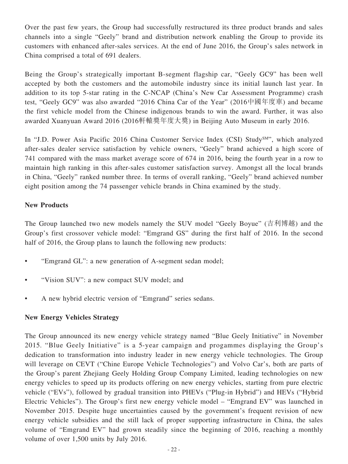Over the past few years, the Group had successfully restructured its three product brands and sales channels into a single "Geely" brand and distribution network enabling the Group to provide its customers with enhanced after-sales services. At the end of June 2016, the Group's sales network in China comprised a total of 691 dealers.

Being the Group's strategically important B-segment flagship car, "Geely GC9" has been well accepted by both the customers and the automobile industry since its initial launch last year. In addition to its top 5-star rating in the C-NCAP (China's New Car Assessment Programme) crash test, "Geely GC9" was also awarded "2016 China Car of the Year" (2016中國年度車) and became the first vehicle model from the Chinese indigenous brands to win the award. Further, it was also awarded Xuanyuan Award 2016 (2016軒轅獎年度大獎) in Beijing Auto Museum in early 2016.

In "J.D. Power Asia Pacific 2016 China Customer Service Index (CSI) Study<sup>SM"</sup>, which analyzed after-sales dealer service satisfaction by vehicle owners, "Geely" brand achieved a high score of 741 compared with the mass market average score of 674 in 2016, being the fourth year in a row to maintain high ranking in this after-sales customer satisfaction survey. Amongst all the local brands in China, "Geely" ranked number three. In terms of overall ranking, "Geely" brand achieved number eight position among the 74 passenger vehicle brands in China examined by the study.

# **New Products**

The Group launched two new models namely the SUV model "Geely Boyue" (吉利博越) and the Group's first crossover vehicle model: "Emgrand GS" during the first half of 2016. In the second half of 2016, the Group plans to launch the following new products:

- "Emgrand GL": a new generation of A-segment sedan model;
- "Vision SUV": a new compact SUV model; and
- A new hybrid electric version of "Emgrand" series sedans.

# **New Energy Vehicles Strategy**

The Group announced its new energy vehicle strategy named "Blue Geely Initiative" in November 2015. "Blue Geely Initiative" is a 5-year campaign and progammes displaying the Group's dedication to transformation into industry leader in new energy vehicle technologies. The Group will leverage on CEVT ("Chine Europe Vehicle Technologies") and Volvo Car's, both are parts of the Group's parent Zhejiang Geely Holding Group Company Limited, leading technologies on new energy vehicles to speed up its products offering on new energy vehicles, starting from pure electric vehicle ("EVs"), followed by gradual transition into PHEVs ("Plug-in Hybrid") and HEVs ("Hybrid Electric Vehicles"). The Group's first new energy vehicle model – "Emgrand EV" was launched in November 2015. Despite huge uncertainties caused by the government's frequent revision of new energy vehicle subsidies and the still lack of proper supporting infrastructure in China, the sales volume of "Emgrand EV" had grown steadily since the beginning of 2016, reaching a monthly volume of over 1,500 units by July 2016.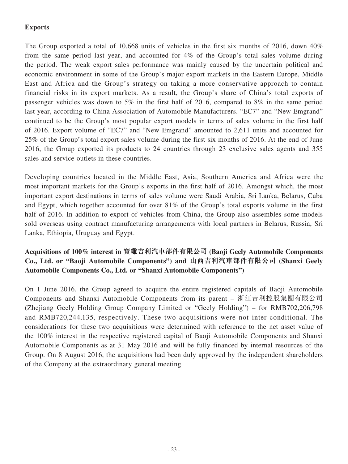# **Exports**

The Group exported a total of 10,668 units of vehicles in the first six months of 2016, down 40% from the same period last year, and accounted for 4% of the Group's total sales volume during the period. The weak export sales performance was mainly caused by the uncertain political and economic environment in some of the Group's major export markets in the Eastern Europe, Middle East and Africa and the Group's strategy on taking a more conservative approach to contain financial risks in its export markets. As a result, the Group's share of China's total exports of passenger vehicles was down to 5% in the first half of 2016, compared to 8% in the same period last year, according to China Association of Automobile Manufacturers. "EC7" and "New Emgrand" continued to be the Group's most popular export models in terms of sales volume in the first half of 2016. Export volume of "EC7" and "New Emgrand" amounted to 2,611 units and accounted for 25% of the Group's total export sales volume during the first six months of 2016. At the end of June 2016, the Group exported its products to 24 countries through 23 exclusive sales agents and 355 sales and service outlets in these countries.

Developing countries located in the Middle East, Asia, Southern America and Africa were the most important markets for the Group's exports in the first half of 2016. Amongst which, the most important export destinations in terms of sales volume were Saudi Arabia, Sri Lanka, Belarus, Cuba and Egypt, which together accounted for over 81% of the Group's total exports volume in the first half of 2016. In addition to export of vehicles from China, the Group also assembles some models sold overseas using contract manufacturing arrangements with local partners in Belarus, Russia, Sri Lanka, Ethiopia, Uruguay and Egypt.

# **Acquisitions of 100% interest in 寶雞吉利汽車部件有限公司 (Baoji Geely Automobile Components Co., Ltd. or "Baoji Automobile Components") and 山西吉利汽車部件有限公司 (Shanxi Geely Automobile Components Co., Ltd. or "Shanxi Automobile Components")**

On 1 June 2016, the Group agreed to acquire the entire registered capitals of Baoji Automobile Components and Shanxi Automobile Components from its parent – 浙江吉利控股集團有限公司 (Zhejiang Geely Holding Group Company Limited or "Geely Holding") – for RMB702,206,798 and RMB720,244,135, respectively. These two acquisitions were not inter-conditional. The considerations for these two acquisitions were determined with reference to the net asset value of the 100% interest in the respective registered capital of Baoji Automobile Components and Shanxi Automobile Components as at 31 May 2016 and will be fully financed by internal resources of the Group. On 8 August 2016, the acquisitions had been duly approved by the independent shareholders of the Company at the extraordinary general meeting.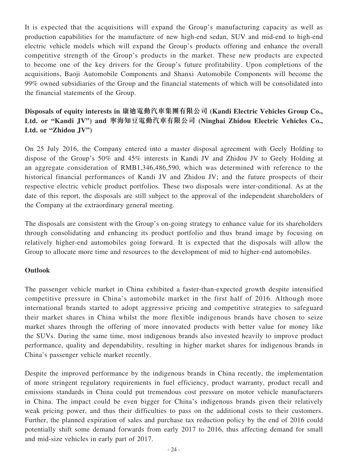It is expected that the acquisitions will expand the Group's manufacturing capacity as well as production capabilities for the manufacture of new high-end sedan, SUV and mid-end to high-end electric vehicle models which will expand the Group's products offering and enhance the overall competitive strength of the Group's products in the market. These new products are expected to become one of the key drivers for the Group's future profitability. Upon completions of the acquisitions, Baoji Automobile Components and Shanxi Automobile Components will become the 99% owned subsidiaries of the Group and the financial statements of which will be consolidated into the financial statements of the Group.

# **Disposals of equity interests in 康迪電動汽車集團有限公司 (Kandi Electric Vehicles Group Co., Ltd. or "Kandi JV") and 寧海知豆電動汽車有限公司 (Ninghai Zhidou Electric Vehicles Co., Ltd. or "Zhidou JV")**

On 25 July 2016, the Company entered into a master disposal agreement with Geely Holding to dispose of the Group's 50% and 45% interests in Kandi JV and Zhidou JV to Geely Holding at an aggregate consideration of RMB1,346,486,590, which was determined with reference to the historical financial performances of Kandi JV and Zhidou JV; and the future prospects of their respective electric vehicle product portfolios. These two disposals were inter-conditional. As at the date of this report, the disposals are still subject to the approval of the independent shareholders of the Company at the extraordinary general meeting.

The disposals are consistent with the Group's on-going strategy to enhance value for its shareholders through consolidating and enhancing its product portfolio and thus brand image by focusing on relatively higher-end automobiles going forward. It is expected that the disposals will allow the Group to allocate more time and resources to the development of mid to higher-end automobiles.

# **Outlook**

The passenger vehicle market in China exhibited a faster-than-expected growth despite intensified competitive pressure in China's automobile market in the first half of 2016. Although more international brands started to adopt aggressive pricing and competitive strategies to safeguard their market shares in China whilst the more flexible indigenous brands have chosen to seize market shares through the offering of more innovated products with better value for money like the SUVs. During the same time, most indigenous brands also invested heavily to improve product performance, quality and dependability, resulting in higher market shares for indigenous brands in China's passenger vehicle market recently.

Despite the improved performance by the indigenous brands in China recently, the implementation of more stringent regulatory requirements in fuel efficiency, product warranty, product recall and emissions standards in China could put tremendous cost pressure on motor vehicle manufacturers in China. The impact could be even bigger for China's indigenous brands given their relatively weak pricing power, and thus their difficulties to pass on the additional costs to their customers. Further, the planned expiration of sales and purchase tax reduction policy by the end of 2016 could potentially shift some demand forwards from early 2017 to 2016, thus affecting demand for small and mid-size vehicles in early part of 2017.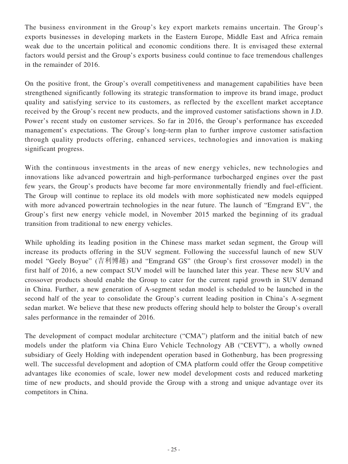The business environment in the Group's key export markets remains uncertain. The Group's exports businesses in developing markets in the Eastern Europe, Middle East and Africa remain weak due to the uncertain political and economic conditions there. It is envisaged these external factors would persist and the Group's exports business could continue to face tremendous challenges in the remainder of 2016.

On the positive front, the Group's overall competitiveness and management capabilities have been strengthened significantly following its strategic transformation to improve its brand image, product quality and satisfying service to its customers, as reflected by the excellent market acceptance received by the Group's recent new products, and the improved customer satisfactions shown in J.D. Power's recent study on customer services. So far in 2016, the Group's performance has exceeded management's expectations. The Group's long-term plan to further improve customer satisfaction through quality products offering, enhanced services, technologies and innovation is making significant progress.

With the continuous investments in the areas of new energy vehicles, new technologies and innovations like advanced powertrain and high-performance turbocharged engines over the past few years, the Group's products have become far more environmentally friendly and fuel-efficient. The Group will continue to replace its old models with more sophisticated new models equipped with more advanced powertrain technologies in the near future. The launch of "Emgrand EV", the Group's first new energy vehicle model, in November 2015 marked the beginning of its gradual transition from traditional to new energy vehicles.

While upholding its leading position in the Chinese mass market sedan segment, the Group will increase its products offering in the SUV segment. Following the successful launch of new SUV model "Geely Boyue" (吉利博越) and "Emgrand GS" (the Group's first crossover model) in the first half of 2016, a new compact SUV model will be launched later this year. These new SUV and crossover products should enable the Group to cater for the current rapid growth in SUV demand in China. Further, a new generation of A-segment sedan model is scheduled to be launched in the second half of the year to consolidate the Group's current leading position in China's A-segment sedan market. We believe that these new products offering should help to bolster the Group's overall sales performance in the remainder of 2016.

The development of compact modular architecture ("CMA") platform and the initial batch of new models under the platform via China Euro Vehicle Technology AB ("CEVT"), a wholly owned subsidiary of Geely Holding with independent operation based in Gothenburg, has been progressing well. The successful development and adoption of CMA platform could offer the Group competitive advantages like economies of scale, lower new model development costs and reduced marketing time of new products, and should provide the Group with a strong and unique advantage over its competitors in China.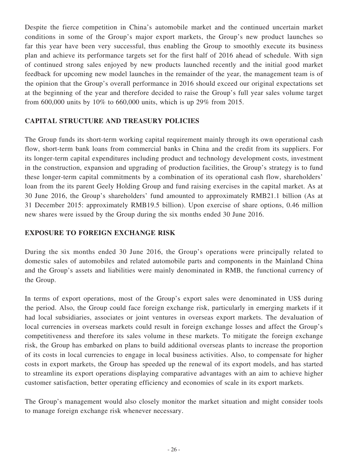Despite the fierce competition in China's automobile market and the continued uncertain market conditions in some of the Group's major export markets, the Group's new product launches so far this year have been very successful, thus enabling the Group to smoothly execute its business plan and achieve its performance targets set for the first half of 2016 ahead of schedule. With sign of continued strong sales enjoyed by new products launched recently and the initial good market feedback for upcoming new model launches in the remainder of the year, the management team is of the opinion that the Group's overall performance in 2016 should exceed our original expectations set at the beginning of the year and therefore decided to raise the Group's full year sales volume target from 600,000 units by 10% to 660,000 units, which is up 29% from 2015.

# **CAPITAL STRUCTURE AND TREASURY POLICIES**

The Group funds its short-term working capital requirement mainly through its own operational cash flow, short-term bank loans from commercial banks in China and the credit from its suppliers. For its longer-term capital expenditures including product and technology development costs, investment in the construction, expansion and upgrading of production facilities, the Group's strategy is to fund these longer-term capital commitments by a combination of its operational cash flow, shareholders' loan from the its parent Geely Holding Group and fund raising exercises in the capital market. As at 30 June 2016, the Group's shareholders' fund amounted to approximately RMB21.1 billion (As at 31 December 2015: approximately RMB19.5 billion). Upon exercise of share options, 0.46 million new shares were issued by the Group during the six months ended 30 June 2016.

# **EXPOSURE TO FOREIGN EXCHANGE RISK**

During the six months ended 30 June 2016, the Group's operations were principally related to domestic sales of automobiles and related automobile parts and components in the Mainland China and the Group's assets and liabilities were mainly denominated in RMB, the functional currency of the Group.

In terms of export operations, most of the Group's export sales were denominated in US\$ during the period. Also, the Group could face foreign exchange risk, particularly in emerging markets if it had local subsidiaries, associates or joint ventures in overseas export markets. The devaluation of local currencies in overseas markets could result in foreign exchange losses and affect the Group's competitiveness and therefore its sales volume in these markets. To mitigate the foreign exchange risk, the Group has embarked on plans to build additional overseas plants to increase the proportion of its costs in local currencies to engage in local business activities. Also, to compensate for higher costs in export markets, the Group has speeded up the renewal of its export models, and has started to streamline its export operations displaying comparative advantages with an aim to achieve higher customer satisfaction, better operating efficiency and economies of scale in its export markets.

The Group's management would also closely monitor the market situation and might consider tools to manage foreign exchange risk whenever necessary.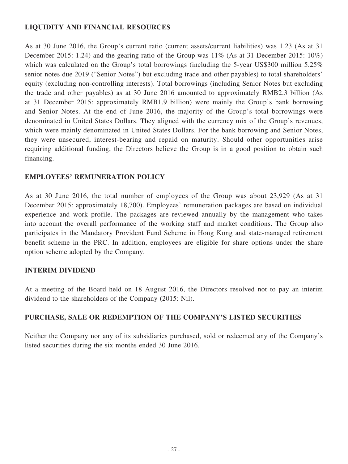# **LIQUIDITY AND FINANCIAL RESOURCES**

As at 30 June 2016, the Group's current ratio (current assets/current liabilities) was 1.23 (As at 31 December 2015: 1.24) and the gearing ratio of the Group was 11% (As at 31 December 2015: 10%) which was calculated on the Group's total borrowings (including the 5-year US\$300 million 5.25%) senior notes due 2019 ("Senior Notes") but excluding trade and other payables) to total shareholders' equity (excluding non-controlling interests). Total borrowings (including Senior Notes but excluding the trade and other payables) as at 30 June 2016 amounted to approximately RMB2.3 billion (As at 31 December 2015: approximately RMB1.9 billion) were mainly the Group's bank borrowing and Senior Notes. At the end of June 2016, the majority of the Group's total borrowings were denominated in United States Dollars. They aligned with the currency mix of the Group's revenues, which were mainly denominated in United States Dollars. For the bank borrowing and Senior Notes, they were unsecured, interest-bearing and repaid on maturity. Should other opportunities arise requiring additional funding, the Directors believe the Group is in a good position to obtain such financing.

# **EMPLOYEES' REMUNERATION POLICY**

As at 30 June 2016, the total number of employees of the Group was about 23,929 (As at 31 December 2015: approximately 18,700). Employees' remuneration packages are based on individual experience and work profile. The packages are reviewed annually by the management who takes into account the overall performance of the working staff and market conditions. The Group also participates in the Mandatory Provident Fund Scheme in Hong Kong and state-managed retirement benefit scheme in the PRC. In addition, employees are eligible for share options under the share option scheme adopted by the Company.

# **INTERIM DIVIDEND**

At a meeting of the Board held on 18 August 2016, the Directors resolved not to pay an interim dividend to the shareholders of the Company (2015: Nil).

# **PURCHASE, SALE OR REDEMPTION OF THE COMPANY'S LISTED SECURITIES**

Neither the Company nor any of its subsidiaries purchased, sold or redeemed any of the Company's listed securities during the six months ended 30 June 2016.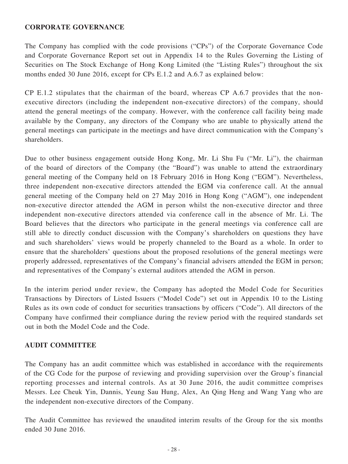### **CORPORATE GOVERNANCE**

The Company has complied with the code provisions ("CPs") of the Corporate Governance Code and Corporate Governance Report set out in Appendix 14 to the Rules Governing the Listing of Securities on The Stock Exchange of Hong Kong Limited (the "Listing Rules") throughout the six months ended 30 June 2016, except for CPs E.1.2 and A.6.7 as explained below:

CP E.1.2 stipulates that the chairman of the board, whereas CP A.6.7 provides that the nonexecutive directors (including the independent non-executive directors) of the company, should attend the general meetings of the company. However, with the conference call facility being made available by the Company, any directors of the Company who are unable to physically attend the general meetings can participate in the meetings and have direct communication with the Company's shareholders.

Due to other business engagement outside Hong Kong, Mr. Li Shu Fu ("Mr. Li"), the chairman of the board of directors of the Company (the "Board") was unable to attend the extraordinary general meeting of the Company held on 18 February 2016 in Hong Kong ("EGM"). Nevertheless, three independent non-executive directors attended the EGM via conference call. At the annual general meeting of the Company held on 27 May 2016 in Hong Kong ("AGM"), one independent non-executive director attended the AGM in person whilst the non-executive director and three independent non-executive directors attended via conference call in the absence of Mr. Li. The Board believes that the directors who participate in the general meetings via conference call are still able to directly conduct discussion with the Company's shareholders on questions they have and such shareholders' views would be properly channeled to the Board as a whole. In order to ensure that the shareholders' questions about the proposed resolutions of the general meetings were properly addressed, representatives of the Company's financial advisers attended the EGM in person; and representatives of the Company's external auditors attended the AGM in person.

In the interim period under review, the Company has adopted the Model Code for Securities Transactions by Directors of Listed Issuers ("Model Code") set out in Appendix 10 to the Listing Rules as its own code of conduct for securities transactions by officers ("Code"). All directors of the Company have confirmed their compliance during the review period with the required standards set out in both the Model Code and the Code.

# **AUDIT COMMITTEE**

The Company has an audit committee which was established in accordance with the requirements of the CG Code for the purpose of reviewing and providing supervision over the Group's financial reporting processes and internal controls. As at 30 June 2016, the audit committee comprises Messrs. Lee Cheuk Yin, Dannis, Yeung Sau Hung, Alex, An Qing Heng and Wang Yang who are the independent non-executive directors of the Company.

The Audit Committee has reviewed the unaudited interim results of the Group for the six months ended 30 June 2016.